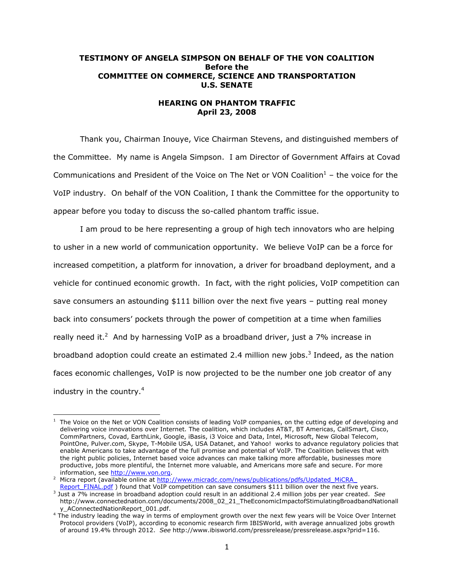# **TESTIMONY OF ANGELA SIMPSON ON BEHALF OF THE VON COALITION Before the COMMITTEE ON COMMERCE, SCIENCE AND TRANSPORTATION U.S. SENATE**

# **HEARING ON PHANTOM TRAFFIC April 23, 2008**

Thank you, Chairman Inouye, Vice Chairman Stevens, and distinguished members of the Committee. My name is Angela Simpson. I am Director of Government Affairs at Covad Communications and President of the Voice on The Net or VON Coalition $1$  – the voice for the VoIP industry. On behalf of the VON Coalition, I thank the Committee for the opportunity to appear before you today to discuss the so-called phantom traffic issue.

I am proud to be here representing a group of high tech innovators who are helping to usher in a new world of communication opportunity. We believe VoIP can be a force for increased competition, a platform for innovation, a driver for broadband deployment, and a vehicle for continued economic growth. In fact, with the right policies, VoIP competition can save consumers an astounding \$111 billion over the next five years – putting real money back into consumers' pockets through the power of competition at a time when families really need it.<sup>2</sup> And by harnessing VoIP as a broadband driver, just a 7% increase in broadband adoption could create an estimated 2.4 million new jobs.<sup>3</sup> Indeed, as the nation faces economic challenges, VoIP is now projected to be the number one job creator of any industry in the country. $4$ 

<sup>1</sup> 1 The Voice on the Net or VON Coalition consists of leading VoIP companies, on the cutting edge of developing and delivering voice innovations over Internet. The coalition, which includes AT&T, BT Americas, CallSmart, Cisco, CommPartners, Covad, EarthLink, Google, iBasis, i3 Voice and Data, Intel, Microsoft, New Global Telecom, PointOne, Pulver.com, Skype, T-Mobile USA, USA Datanet, and Yahoo! works to advance regulatory policies that enable Americans to take advantage of the full promise and potential of VoIP. The Coalition believes that with the right public policies, Internet based voice advances can make talking more affordable, businesses more productive, jobs more plentiful, the Internet more valuable, and Americans more safe and secure. For more information, see http://www.von.org.

Micra report (available online at http://www.micradc.com/news/publications/pdfs/Updated\_MiCRA Report\_FINAL.pdf ) found that VoIP competition can save consumers \$111 billion over the next five years.

Just a 7% increase in broadband adoption could result in an additional 2.4 million jobs per year created. *See* http://www.connectednation.com/documents/2008\_02\_21\_TheEconomicImpactofStimulatingBroadbandNationall

y\_AConnectedNationReport\_001.pdf. 4 The industry leading the way in terms of employment growth over the next few years will be Voice Over Internet Protocol providers (VoIP), according to economic research firm IBISWorld, with average annualized jobs growth of around 19.4% through 2012. *See* http://www.ibisworld.com/pressrelease/pressrelease.aspx?prid=116.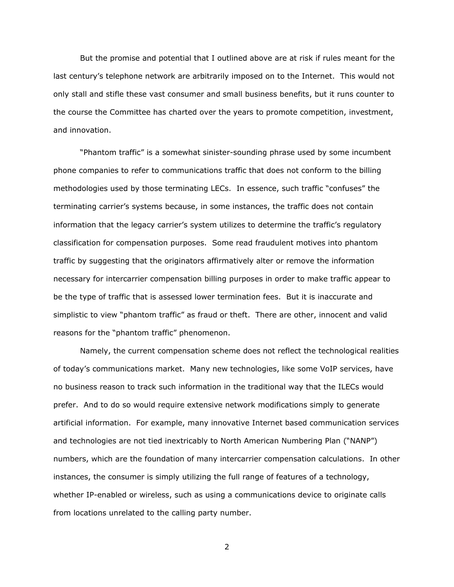But the promise and potential that I outlined above are at risk if rules meant for the last century's telephone network are arbitrarily imposed on to the Internet. This would not only stall and stifle these vast consumer and small business benefits, but it runs counter to the course the Committee has charted over the years to promote competition, investment, and innovation.

"Phantom traffic" is a somewhat sinister-sounding phrase used by some incumbent phone companies to refer to communications traffic that does not conform to the billing methodologies used by those terminating LECs. In essence, such traffic "confuses" the terminating carrier's systems because, in some instances, the traffic does not contain information that the legacy carrier's system utilizes to determine the traffic's regulatory classification for compensation purposes. Some read fraudulent motives into phantom traffic by suggesting that the originators affirmatively alter or remove the information necessary for intercarrier compensation billing purposes in order to make traffic appear to be the type of traffic that is assessed lower termination fees. But it is inaccurate and simplistic to view "phantom traffic" as fraud or theft. There are other, innocent and valid reasons for the "phantom traffic" phenomenon.

Namely, the current compensation scheme does not reflect the technological realities of today's communications market. Many new technologies, like some VoIP services, have no business reason to track such information in the traditional way that the ILECs would prefer. And to do so would require extensive network modifications simply to generate artificial information. For example, many innovative Internet based communication services and technologies are not tied inextricably to North American Numbering Plan ("NANP") numbers, which are the foundation of many intercarrier compensation calculations. In other instances, the consumer is simply utilizing the full range of features of a technology, whether IP-enabled or wireless, such as using a communications device to originate calls from locations unrelated to the calling party number.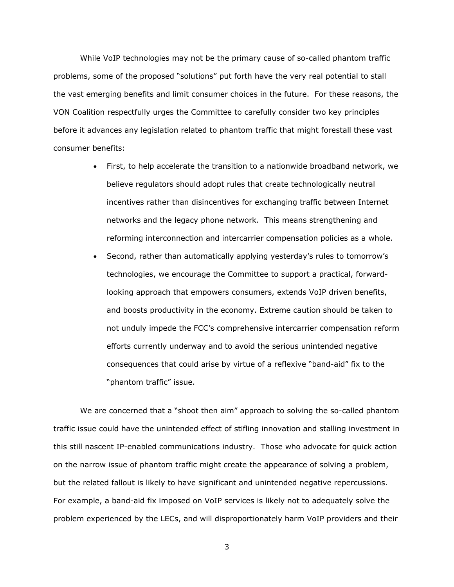While VoIP technologies may not be the primary cause of so-called phantom traffic problems, some of the proposed "solutions" put forth have the very real potential to stall the vast emerging benefits and limit consumer choices in the future. For these reasons, the VON Coalition respectfully urges the Committee to carefully consider two key principles before it advances any legislation related to phantom traffic that might forestall these vast consumer benefits:

- First, to help accelerate the transition to a nationwide broadband network, we believe regulators should adopt rules that create technologically neutral incentives rather than disincentives for exchanging traffic between Internet networks and the legacy phone network. This means strengthening and reforming interconnection and intercarrier compensation policies as a whole.
- Second, rather than automatically applying yesterday's rules to tomorrow's technologies, we encourage the Committee to support a practical, forwardlooking approach that empowers consumers, extends VoIP driven benefits, and boosts productivity in the economy. Extreme caution should be taken to not unduly impede the FCC's comprehensive intercarrier compensation reform efforts currently underway and to avoid the serious unintended negative consequences that could arise by virtue of a reflexive "band-aid" fix to the "phantom traffic" issue.

We are concerned that a "shoot then aim" approach to solving the so-called phantom traffic issue could have the unintended effect of stifling innovation and stalling investment in this still nascent IP-enabled communications industry. Those who advocate for quick action on the narrow issue of phantom traffic might create the appearance of solving a problem, but the related fallout is likely to have significant and unintended negative repercussions. For example, a band-aid fix imposed on VoIP services is likely not to adequately solve the problem experienced by the LECs, and will disproportionately harm VoIP providers and their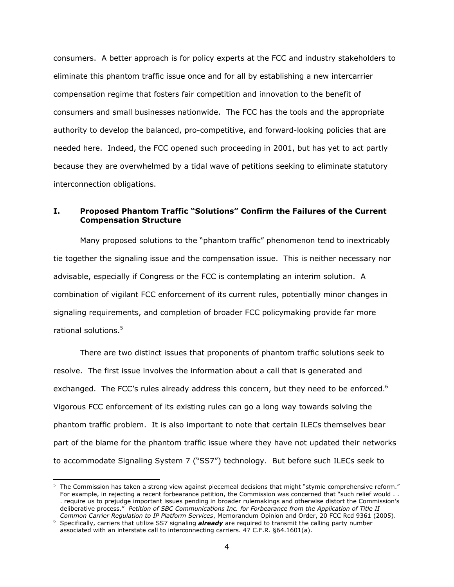consumers. A better approach is for policy experts at the FCC and industry stakeholders to eliminate this phantom traffic issue once and for all by establishing a new intercarrier compensation regime that fosters fair competition and innovation to the benefit of consumers and small businesses nationwide. The FCC has the tools and the appropriate authority to develop the balanced, pro-competitive, and forward-looking policies that are needed here. Indeed, the FCC opened such proceeding in 2001, but has yet to act partly because they are overwhelmed by a tidal wave of petitions seeking to eliminate statutory interconnection obligations.

# **I. Proposed Phantom Traffic "Solutions" Confirm the Failures of the Current Compensation Structure**

Many proposed solutions to the "phantom traffic" phenomenon tend to inextricably tie together the signaling issue and the compensation issue. This is neither necessary nor advisable, especially if Congress or the FCC is contemplating an interim solution. A combination of vigilant FCC enforcement of its current rules, potentially minor changes in signaling requirements, and completion of broader FCC policymaking provide far more rational solutions.<sup>5</sup>

There are two distinct issues that proponents of phantom traffic solutions seek to resolve. The first issue involves the information about a call that is generated and exchanged. The FCC's rules already address this concern, but they need to be enforced.<sup>6</sup> Vigorous FCC enforcement of its existing rules can go a long way towards solving the phantom traffic problem. It is also important to note that certain ILECs themselves bear part of the blame for the phantom traffic issue where they have not updated their networks to accommodate Signaling System 7 ("SS7") technology. But before such ILECs seek to

-

<sup>&</sup>lt;sup>5</sup> The Commission has taken a strong view against piecemeal decisions that might "stymie comprehensive reform." For example, in rejecting a recent forbearance petition, the Commission was concerned that "such relief would . . . require us to prejudge important issues pending in broader rulemakings and otherwise distort the Commission's deliberative process." *Petition of SBC Communications Inc. for Forbearance from the Application of Title II Common Carrier Regulation to IP Platform Services*, Memorandum Opinion and Order, 20 FCC Rcd 9361 (2005). 6

<sup>&</sup>lt;sup>6</sup> Specifically, carriers that utilize SS7 signaling *already* are required to transmit the calling party number associated with an interstate call to interconnecting carriers. 47 C.F.R. §64.1601(a).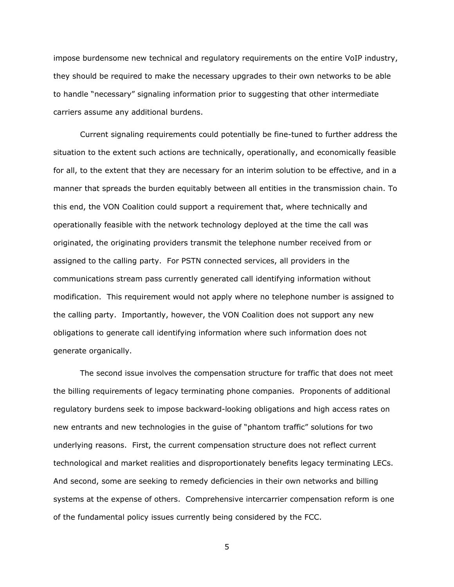impose burdensome new technical and regulatory requirements on the entire VoIP industry, they should be required to make the necessary upgrades to their own networks to be able to handle "necessary" signaling information prior to suggesting that other intermediate carriers assume any additional burdens.

Current signaling requirements could potentially be fine-tuned to further address the situation to the extent such actions are technically, operationally, and economically feasible for all, to the extent that they are necessary for an interim solution to be effective, and in a manner that spreads the burden equitably between all entities in the transmission chain. To this end, the VON Coalition could support a requirement that, where technically and operationally feasible with the network technology deployed at the time the call was originated, the originating providers transmit the telephone number received from or assigned to the calling party. For PSTN connected services, all providers in the communications stream pass currently generated call identifying information without modification. This requirement would not apply where no telephone number is assigned to the calling party. Importantly, however, the VON Coalition does not support any new obligations to generate call identifying information where such information does not generate organically.

The second issue involves the compensation structure for traffic that does not meet the billing requirements of legacy terminating phone companies. Proponents of additional regulatory burdens seek to impose backward-looking obligations and high access rates on new entrants and new technologies in the guise of "phantom traffic" solutions for two underlying reasons. First, the current compensation structure does not reflect current technological and market realities and disproportionately benefits legacy terminating LECs. And second, some are seeking to remedy deficiencies in their own networks and billing systems at the expense of others. Comprehensive intercarrier compensation reform is one of the fundamental policy issues currently being considered by the FCC.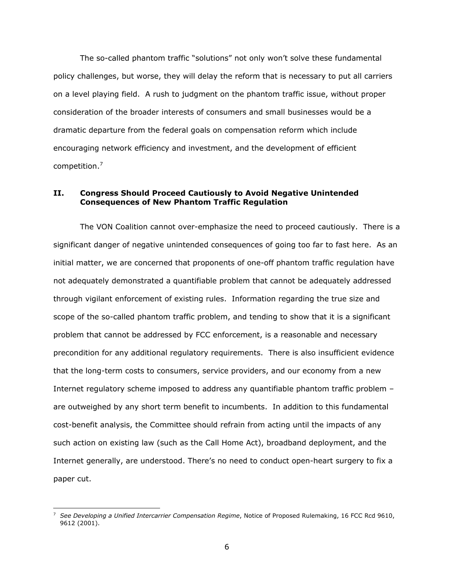The so-called phantom traffic "solutions" not only won't solve these fundamental policy challenges, but worse, they will delay the reform that is necessary to put all carriers on a level playing field. A rush to judgment on the phantom traffic issue, without proper consideration of the broader interests of consumers and small businesses would be a dramatic departure from the federal goals on compensation reform which include encouraging network efficiency and investment, and the development of efficient competition.<sup>7</sup>

# **II. Congress Should Proceed Cautiously to Avoid Negative Unintended Consequences of New Phantom Traffic Regulation**

The VON Coalition cannot over-emphasize the need to proceed cautiously. There is a significant danger of negative unintended consequences of going too far to fast here. As an initial matter, we are concerned that proponents of one-off phantom traffic regulation have not adequately demonstrated a quantifiable problem that cannot be adequately addressed through vigilant enforcement of existing rules. Information regarding the true size and scope of the so-called phantom traffic problem, and tending to show that it is a significant problem that cannot be addressed by FCC enforcement, is a reasonable and necessary precondition for any additional regulatory requirements. There is also insufficient evidence that the long-term costs to consumers, service providers, and our economy from a new Internet regulatory scheme imposed to address any quantifiable phantom traffic problem – are outweighed by any short term benefit to incumbents. In addition to this fundamental cost-benefit analysis, the Committee should refrain from acting until the impacts of any such action on existing law (such as the Call Home Act), broadband deployment, and the Internet generally, are understood. There's no need to conduct open-heart surgery to fix a paper cut.

-

<sup>7</sup> *See Developing a Unified Intercarrier Compensation Regime*, Notice of Proposed Rulemaking, 16 FCC Rcd 9610, 9612 (2001).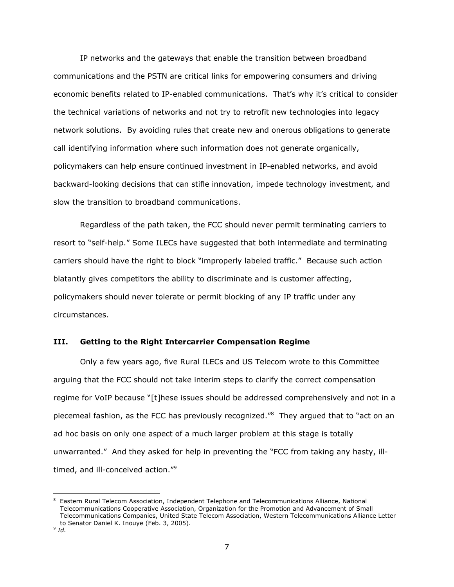IP networks and the gateways that enable the transition between broadband communications and the PSTN are critical links for empowering consumers and driving economic benefits related to IP-enabled communications. That's why it's critical to consider the technical variations of networks and not try to retrofit new technologies into legacy network solutions. By avoiding rules that create new and onerous obligations to generate call identifying information where such information does not generate organically, policymakers can help ensure continued investment in IP-enabled networks, and avoid backward-looking decisions that can stifle innovation, impede technology investment, and slow the transition to broadband communications.

Regardless of the path taken, the FCC should never permit terminating carriers to resort to "self-help." Some ILECs have suggested that both intermediate and terminating carriers should have the right to block "improperly labeled traffic." Because such action blatantly gives competitors the ability to discriminate and is customer affecting, policymakers should never tolerate or permit blocking of any IP traffic under any circumstances.

## **III. Getting to the Right Intercarrier Compensation Regime**

Only a few years ago, five Rural ILECs and US Telecom wrote to this Committee arguing that the FCC should not take interim steps to clarify the correct compensation regime for VoIP because "[t]hese issues should be addressed comprehensively and not in a piecemeal fashion, as the FCC has previously recognized."<sup>8</sup> They argued that to "act on an ad hoc basis on only one aspect of a much larger problem at this stage is totally unwarranted." And they asked for help in preventing the "FCC from taking any hasty, illtimed, and ill-conceived action."9

<sup>-</sup><sup>8</sup> Eastern Rural Telecom Association, Independent Telephone and Telecommunications Alliance, National Telecommunications Cooperative Association, Organization for the Promotion and Advancement of Small Telecommunications Companies, United State Telecom Association, Western Telecommunications Alliance Letter to Senator Daniel K. Inouye (Feb. 3, 2005). 9 *Id.*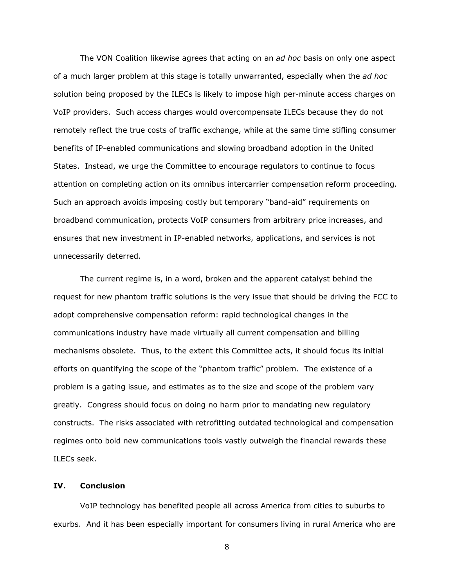The VON Coalition likewise agrees that acting on an *ad hoc* basis on only one aspect of a much larger problem at this stage is totally unwarranted, especially when the *ad hoc* solution being proposed by the ILECs is likely to impose high per-minute access charges on VoIP providers. Such access charges would overcompensate ILECs because they do not remotely reflect the true costs of traffic exchange, while at the same time stifling consumer benefits of IP-enabled communications and slowing broadband adoption in the United States. Instead, we urge the Committee to encourage regulators to continue to focus attention on completing action on its omnibus intercarrier compensation reform proceeding. Such an approach avoids imposing costly but temporary "band-aid" requirements on broadband communication, protects VoIP consumers from arbitrary price increases, and ensures that new investment in IP-enabled networks, applications, and services is not unnecessarily deterred.

The current regime is, in a word, broken and the apparent catalyst behind the request for new phantom traffic solutions is the very issue that should be driving the FCC to adopt comprehensive compensation reform: rapid technological changes in the communications industry have made virtually all current compensation and billing mechanisms obsolete. Thus, to the extent this Committee acts, it should focus its initial efforts on quantifying the scope of the "phantom traffic" problem. The existence of a problem is a gating issue, and estimates as to the size and scope of the problem vary greatly. Congress should focus on doing no harm prior to mandating new regulatory constructs. The risks associated with retrofitting outdated technological and compensation regimes onto bold new communications tools vastly outweigh the financial rewards these ILECs seek.

#### **IV. Conclusion**

VoIP technology has benefited people all across America from cities to suburbs to exurbs. And it has been especially important for consumers living in rural America who are